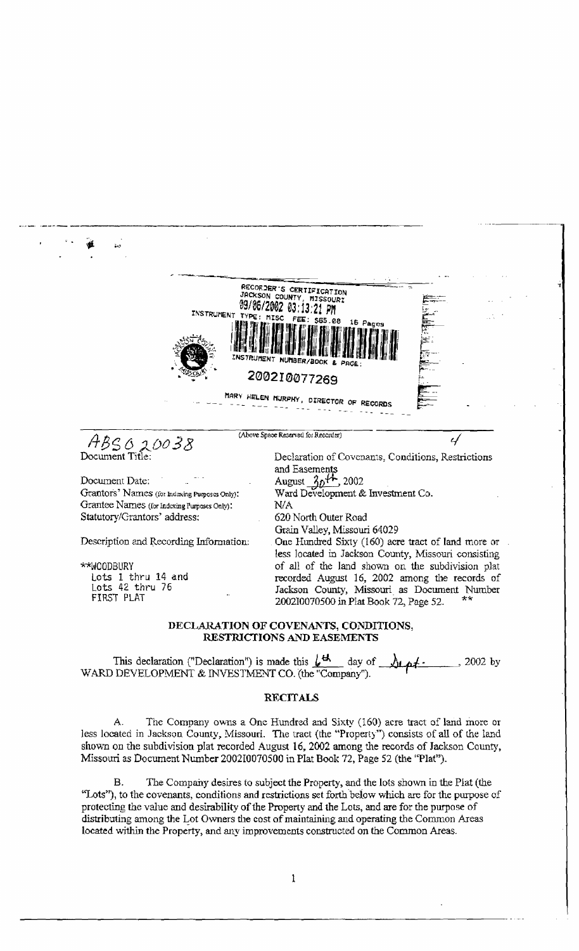

# DECLARATION OF COVENANTS, CONDITIONS, RESTRICTIONS AND EASEMENTS

This declaration ("Declaration") is made this  $\iota^{\mathbf{d}}$ day of  $2002$  by <u> Arst -</u> WARD DEVELOPMENT & INVESTMENT CO. (the "Company").

## **RECITALS**

The Company owns a One Hundred and Sixty (160) acre tract of land more or  $\mathsf{A}$ . less located in Jackson County, Missouri. The tract (the "Property") consists of all of the land shown on the subdivision plat recorded August 16, 2002 among the records of Jackson County, Missouri as Document Number 200210070500 in Plat Book 72, Page 52 (the "Plat").

The Company desires to subject the Property, and the lots shown in the Plat (the В. "Lots"), to the covenants, conditions and restrictions set forth below which are for the purpose of protecting the value and desirability of the Property and the Lots, and are for the purpose of distributing among the Lot Owners the cost of maintaining and operating the Common Areas located within the Property, and any improvements constructed on the Common Areas.

 $\mathbf{1}$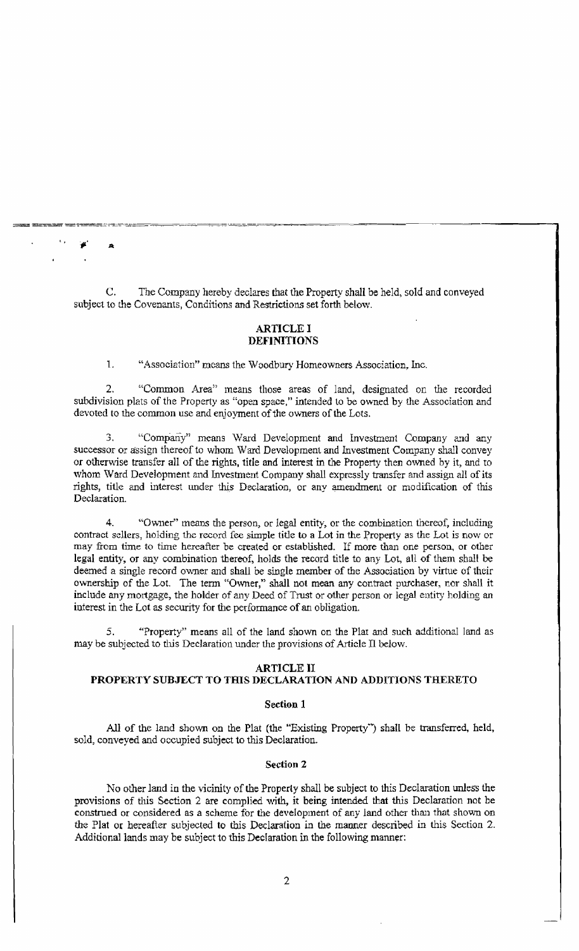C. The Company hereby declares that the Property shall be held, sold and conveyed subject to the Covenants, Conditions and Restrictions set forth below.

-=~~~~-=~~~.=.. ====- -' -~.

 $\mathbf{r}$  ,  $\mathbf{r}$  a

## ARTICLE I DEFINITIONS

1. "Associntion" means the Woodbury Homeowners Association, Inc.

2. "Common Area" means those areas of land, designated on the recorded subdivision plats of the Property as "open space," intended to be owned by the Association and devoted to the common use and enjoyment of the owners of the Lots.

3. "Company" means Ward Development and Investment Company and any successor or assign thereof to whom Ward Development and Investment Company shall convey or otherwise transfer all of the rights, title and interest in the Property then owned by it, and to whom Ward Development and Investment Company shall expressly transfer and assign all of its rights, title and interest under this Declaration, or any amendment or modification of this Declaration.

4. "Owner" means the person, or legal entity, or the combination thereof, including contract sellers, holding the record fee simple title to a Lot in the Property as the Lot is now or may from time to time hereafter be created or established. If more than one person, or other legal entity, or any combination thereof, holds the record title to any Lot, all of them shall be deemed a single record owner and shall be single member of the Association by virtue of their ownership of the Lot. The term "Owner," shall not mean any contract purchaser, nor shall it include any mortgage, the holder of any Deed of Trust or other person or legal entity holding an interest in the Lot as security for the performance of an obligation.

5. "Property" means all of the land shown on the Plat and such additional land as may be subjected to this Declaration under the provisions of Article II below.

## ARTICLE II

# PROPERTY SUBJECT TO THIS DECLARATION AND ADDITIONS THERETO

#### Section 1

All of the land shown on the Plat (the "Existing Property'') shall be transferred, held, sold, conveyed and occupied subject to this Declaration.

### Section 2

No other land in the vicinity of the Property shall be subject to this Declaration unless the provisions of this Section 2 are complied with, it being intended that this Declaration not be construed or considered as a scheme for the development of any land other than that shown on the Plat or hereafter subjected to this Declaration in the manner described in this Section 2. Additional lands may be subject to this Declaration in the following manner: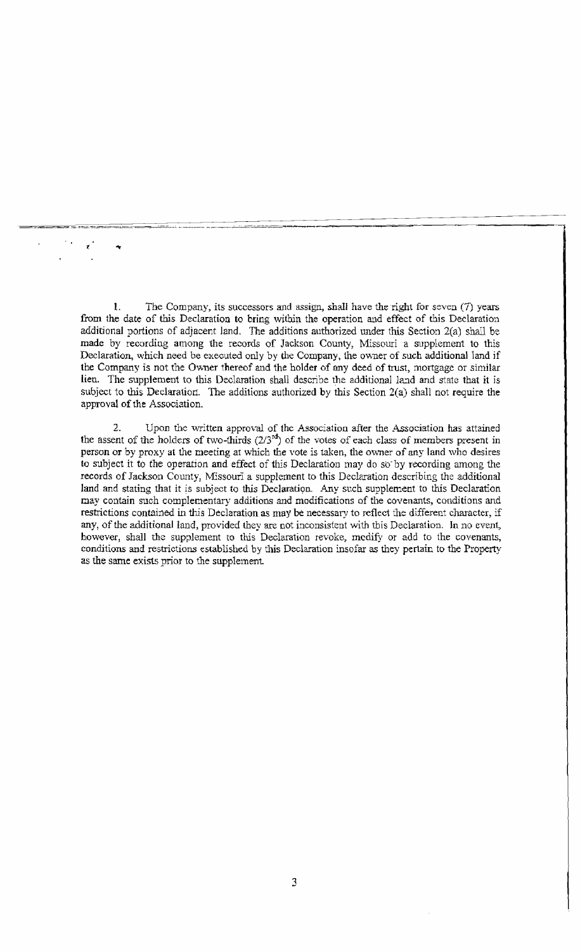1. The Company, its successors and assign, shall have the right for seven (7) years from the date of this Declaration to bring within the operation and effect of this Declaration additional portions of adjacent land. The additions authorized under this Section  $2(a)$  shall be made by recording among the records of Jackson County, Missouri a supplement to this Declaration, which need be executed only by the Company, the owner of such additional land if the Company is not the Owner thereof and the holder of any deed of trust, mortgage or similar lien. The supplement to this Declaration shall describe the additional land and state that it is subject to this Declaration. The additions authorized by this Section 2(a) shall not require the approval of the Association.

1.

2. Upon the written approval of the Association after the Association has attained the assent of the holders of two-thirds  $(2/3<sup>rd</sup>)$  of the votes of each class of members present in person or by proxy at the meeting at which the vote is taken, the ovmer of any land who desires to subject it to the operation and effect of this Declaration may do so-by recording among the records of Jackson County, Missouri a supplement to this Declaration describing the additional land and stating that it is subject to this Declaration. Any such supplement to this Declaration may contain such complementary additions and modifications of the covenants, conditions and restrictions contained in this Declaration as may be necessary to reflect the different character, if any, of the additional land, provided they are not inconsistent with this Declaration. In no event, however, shall the supplement to this Declaration revoke, medify or add to the covenants, conditions and restrictions established by this Declaration insofar as they pertain to the Property as the same exists prior to the supplement.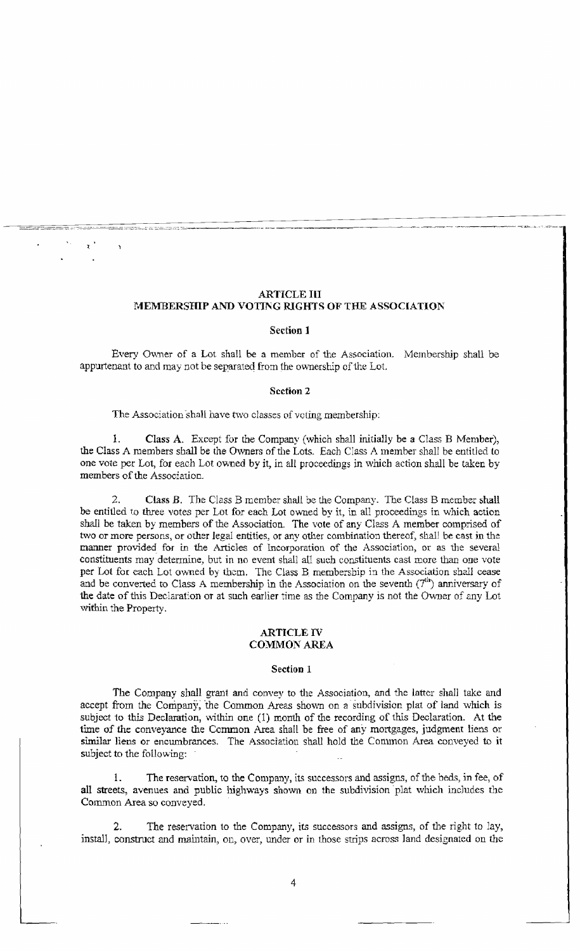# **ARTICLE III** MEMBERSHIP AND VOTING RIGHTS OF THE ASSOCIATION

#### Section 1

Every Owner of a Lot shall be a member of the Association. Membership shall be appurtenant to and may not be separated from the ownership of the Lot.

#### **Section 2**

The Association shall have two classes of voting membership:

 $\mathbf{L}$ Class A. Except for the Company (which shall initially be a Class B Member), the Class A members shall be the Owners of the Lots. Each Class A member shall be entitled to one vote per Lot, for each Lot owned by it, in all proceedings in which action shall be taken by members of the Association.

 $2^{+}$ Class B. The Class B member shall be the Company. The Class B member shall be entitled to three votes per Lot for each Lot owned by it, in all proceedings in which action shall be taken by members of the Association. The vote of any Class A member comprised of two or more persons, or other legal entities, or any other combination thereof, shall be cast in the manner provided for in the Articles of Incorporation of the Association, or as the several constituents may determine, but in no event shall all such constituents cast more than one vote per Lot for each Lot owned by them. The Class B membership in the Association shall cease and be converted to Class A membership in the Association on the seventh  $(7^{th})$  anniversary of the date of this Declaration or at such earlier time as the Company is not the Owner of any Lot within the Property.

## **ARTICLE IV COMMON AREA**

#### Section 1

The Company shall grant and convey to the Association, and the latter shall take and accept from the Company, the Common Areas shown on a subdivision plat of land which is subject to this Declaration, within one (1) month of the recording of this Declaration. At the time of the conveyance the Common Area shall be free of any mortgages, judgment liens or similar liens or encumbrances. The Association shall hold the Common Area conveyed to it subject to the following:

The reservation, to the Company, its successors and assigns, of the beds, in fee, of 1. all streets, avenues and public highways shown on the subdivision plat which includes the Common Area so conveyed.

The reservation to the Company, its successors and assigns, of the right to lay,  $2$ install, construct and maintain, on, over, under or in those strips across land designated on the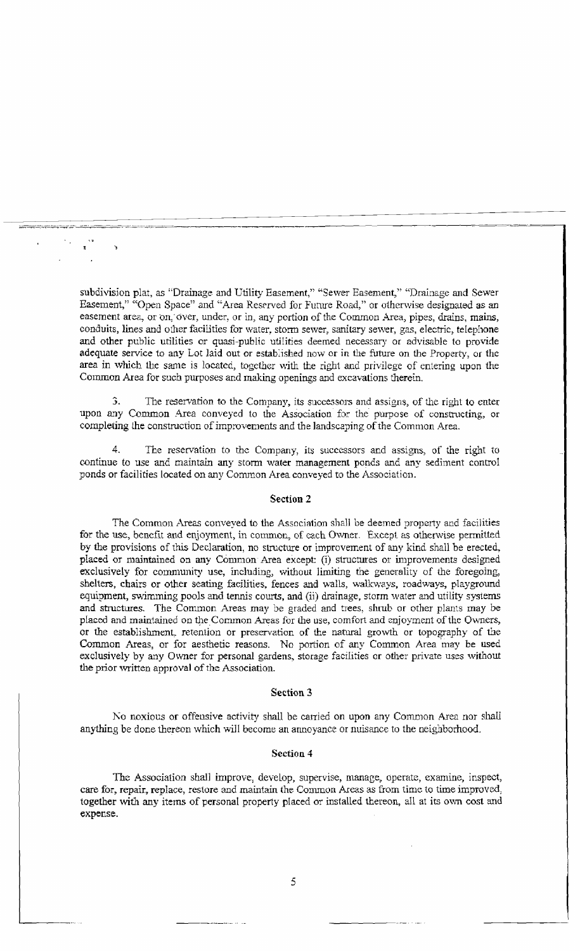subdivision plat, as "Drainage and Utility Easement," "Sewer Easement," "Drainage and Sewer Easement," "Open Space" and "Area Reserved for Future Road," or otherwise designated as an easement area, or on, over, under, or in, any portion of the Common Area, pipes, drains, mains, conduits, lines and other facilities for water, storm sewer, sanitary sewer, gas, electric, telephone and other public utilities or quasi-public utilities deemed necessary or advisable to provide adequate service to any Lot laid out or established now or in the future on the Property, or the area in which the same is located, together with the right and privilege of entering upon the Common Area for such purposes and making openings and excavations therein.

The reservation to the Company, its successors and assigns, of the right to enter  $\mathfrak{D}$ upon any Common Area conveyed to the Association for the purpose of constructing, or completing the construction of improvements and the landscaping of the Common Area.

The reservation to the Company, its successors and assigns, of the right to continue to use and maintain any storm water management ponds and any sediment control ponds or facilities located on any Common Area conveyed to the Association.

## Section 2

The Common Areas conveyed to the Association shall be deemed property and facilities for the use, benefit and enjoyment, in common, of each Owner. Except as otherwise permitted by the provisions of this Declaration, no structure or improvement of any kind shall be erected, placed or maintained on any Common Area except: (i) structures or improvements designed exclusively for community use, including, without limiting the generality of the foregoing, shelters, chairs or other seating facilities, fences and walls, walkways, roadways, playground equipment, swimming pools and tennis courts, and (ii) drainage, storm water and utility systems and structures. The Common Areas may be graded and trees, shrub or other plants may be placed and maintained on the Common Areas for the use, comfort and enjoyment of the Owners, or the establishment, retention or preservation of the natural growth or topography of the Common Areas, or for aesthetic reasons. No portion of any Common Area may be used exclusively by any Owner for personal gardens, storage facilities or other private uses without the prior written approval of the Association.

## Section 3

No noxious or offensive activity shall be carried on upon any Common Area nor shall anything be done thereon which will become an annoyance or nuisance to the neighborhood.

## Section 4

The Association shall improve, develop, supervise, manage, operate, examine, inspect, care for, repair, replace, restore and maintain the Common Areas as from time to time improved, together with any items of personal property placed or installed thereon, all at its own cost and expense.

5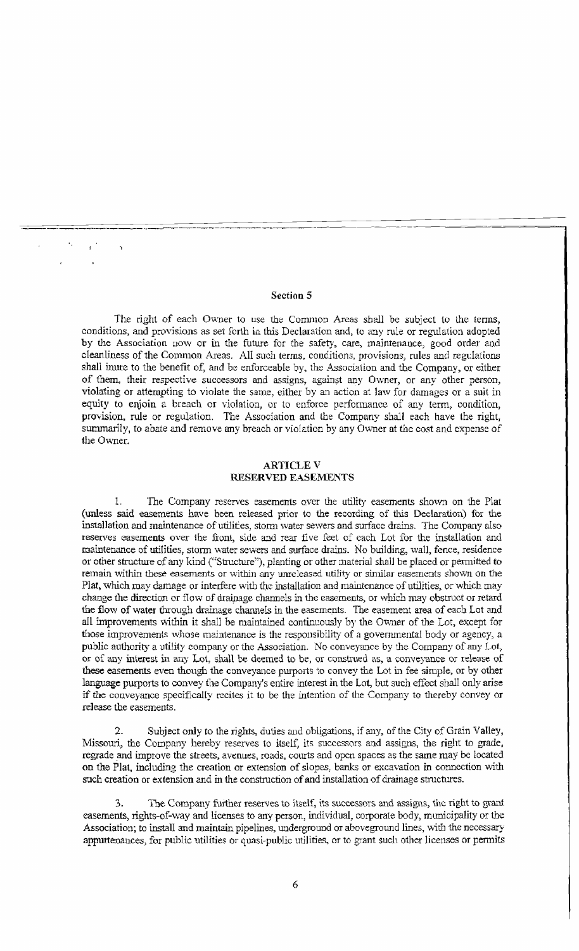# Section 5

The right of each Owner to use the Common Areas shall be subject to the terms, conditions, and provisions as set forth in this Declaration and, to any rule or regulation adopted by the Association now or in the future for the safety, care, maintenance, good order and cleanliness of the Common Areas. All such terms, conditions, provisions, rules and regulations shall inure to the benefit of, and he enforceable by, the Association and the Company, or either of them, their respective successors and assigns, against any Owner, or any other person, violating or attempting to violate the same, either by an action at law for damages or a suit in equity to enjoin a breach or violation, or to enforce perfonnance of any term, condition, provision, rule or regulation. The Association and the Company shall each have the right, summarily, to abate and remove any breach or violation by any Owner at the cost and expense of the Owner.

# ARTICLE V RESERVED EASEMENTS

1. The Company reserves easements over the utility easements shown on the Plat (unless said easements have been released prior to the recording of this Declaration) for the installation and maintenance of utilities, storm water sewers and surface drains. The Company also reserves easements over the front, side and rear five feet of each Lot for the installation and maintenance of utilities, storm water sewers and surface drains. No building, wall, fence, residence or other structure of any kind ("Structure"), planting or other material shall be placed or permitted to remain within these easements or within any unreleased utility or similar easements shown on the Plat, which may damage or interfere with the installation and maintenance of utilities, or which may change the direction or flow of drainage channels in the easements, or which may obstruct or retard the flow of water through drainage channels in the easements. The easement area of each Lot and all improvements within it shall be maintained continuously by the Owner of the Lot, except for those improvements whose maintenance is the responsibility of a governmental body or agency, a public authority a utility company or the Association. No conveyance by the Company of any Lot, or of any interest in any Lot, shall be deemed to be, or construed as, a conveyance or release of these easements even though the conveyance purports 10 convey the Lot in fee simple, or by other language purports to convey the Company's entire interest in the Lot., but such effect shall only arise if the conveyance specifically recites it to be the intention of the Company to thereby convey or release the easements.

2. Subject only to the rights, duties and obligations, if any, of the City of Grain Valley, Missouri, the Company hereby reserves to itself, its successors and assigns, the right to grade, regrade and improve the streets, avenues, roads, courts and open spaces as the same may be located on the Plat, including the creation or extension of slopes, banks or excavation in connection with such creation or extension and in the construction of and installation of drainage structures.

3. The Company further reserves to itself, its successors and assigns, the right to grant easements, rights-of-way and licenses to any person, individual, corporate body, municipality or the Association; to install and maintain pipelines, underground or aboveground lines, with the necessary appurtenances, for public utilities or quasi-public utilities, or to grant such other licenses or permits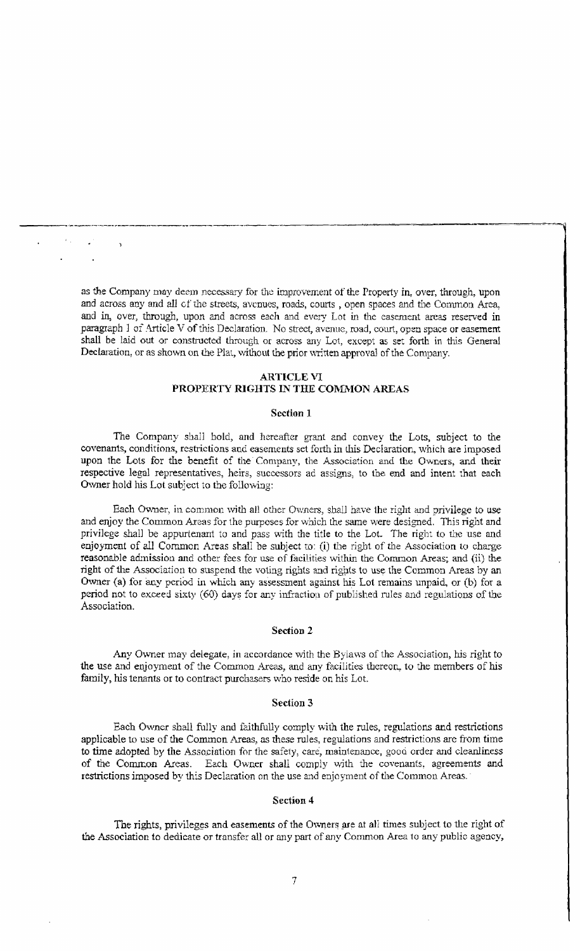as the Company may deem necessary for the improvement of the Property in, over, through, upon and across any and all 0f the streets, avenues, roads, courts , open spaces and tbe Conunon Area, and in, over, through, upon and across each and every Lot in the easement areas reserved in paragraph 1 of Article V of this Declaration. No street, avenue, road, court, open space or easement shall be laid out or constructed through or across any Lot, except as set forth in this General Declaration, or as shown on the Plat, without the prior written approval of the Company.

---\_.\_-\_.\_.\_~--.-\_.\_\_..----\_.. -\_.\_---\_.\_-- --

# ARTICLE VI PROPERTY RIGHTS IN THE COMMON AREAS

#### Section 1

The Company shall bold, and hereafter grant and convey the Lots, subject to the covenants, conditions, restrictions and easements set forth in this Declaration, which are imposed upon the Lots for the benefit of the Company, the Association and the Owners, and their respective legal representatives, heirs, successors ad assigns, to the end and intent that each Owner hold his Lot subject to the following:

Each Owner, in common with all other Owners, shall have the right and privilege to use and enjoy the Common Areas for the purposes for which the same were designed. This right and privilege shall be appurtenant to and pass with the title to the Lot. The right to the use and enjoyment of all Common Areas shall be subject to: (i) the right of the Association to charge reasonable admission and other fees for use of facilities within the Common Areas; and (ii) the right of the Association to suspend the voting rights and rights to use the Common Areas by an Owner (a) for any period in which any assessment against his Lot remains unpaid., or (b) for a period not to exceed sixty (60) days for any infraction of published rules and regulations of the Association.

#### Section 2

Any Owner may delegate, in accordance with the Bylaws of the Association, his right to the use and enjoyment of the Common Areas, and any facilities thereon, to the members of his family, his tenants or to contract purchasers who reside on his Lot.

## Section 3

Each Owner shall fully and faithfully comply with the rules, regulations and restrictions applicable to use of the Common Areas, as these rules, regulations and restrictions are from time to time adopted by the Association for the safety, care, maintenance, good order and cleanliness of the Common Areas. Each Owner shall comply with the covenants, agreements and restrictions imposed by this Declaration on the use and enjoyment of the Common Areas.

## Section 4

The rights, privileges and easements of the Owners are at all times subject to the right of the Association to dedicate or transfer all or any part of any Common Area to any public agency,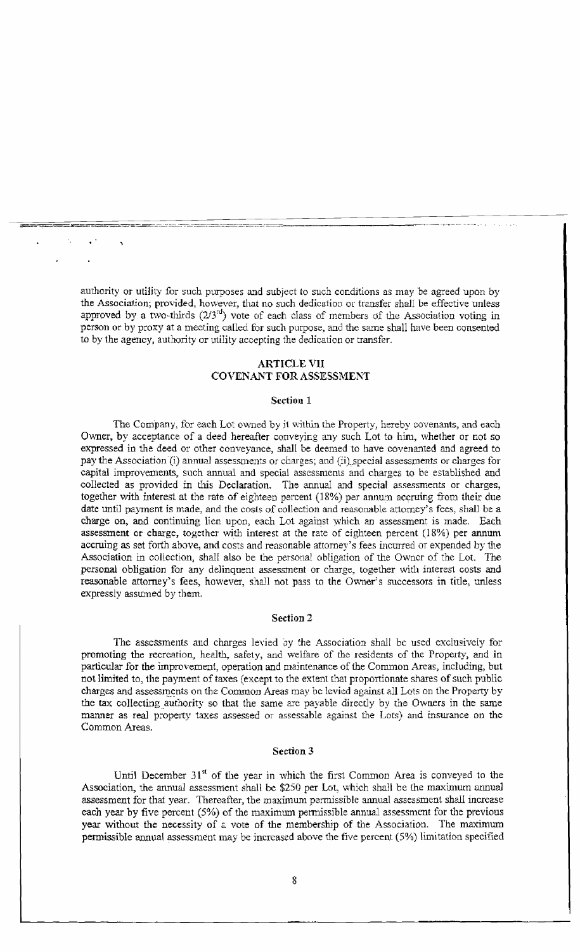authority or utility for such purposes and subject to such conditions as may be agreed upon by the Association; provided, however, that no such dedication or transfer shall be effective unless approved by a two-thirds  $(2/3<sup>rd</sup>)$  vote of each class of members of the Association voting in person or by proxy at a meeting called for such purpose, and the same shall have been consented to by the agency, authority or utility accepting the dedication or transfer.

===-=~'~'¥=---==-=.~~~~=--~\_--::---:::':'=~----=-=-----=:;:;:=:;'-~-~;:':::.-==-=-"':--:::-:. ~- -~-- - .....-~ -'

# ARTICLE VII COVENANT FOR ASSESSMENT

#### Section 1

The Company, for each Lot owned by it within the Property, hereby covenants, and each Owner, by acceptance of a deed hereafter conveying any such Lot to him, whether or not so expressed in the deed or other conveyance, shall be deemed to have covenanted and agreed to pay the Association (i) annual assessments or charges; and (ii) special assessments or charges for capital improvements, such annual and special assessments and charges to be established and collected as provided in this Declaration. The annual and special assessments or charges, together with interest at the rate of eighteen percent (18%) per annwn accruing from their due date until payment is made, and the costs of collection and reasonable attorney's fees, shall be a charge on, and continuing lien upon, each Lot against \vhich an assessment is made. Each assessment or charge, together with interest at the rate of eighteen percent (18%) per annum accruing as set forth above, and costs and reasonable attorney's fees incurred or expended by the Association in collection, shall also be the personal obligation of the Owner of the Lot. The personal obligation for any delinquent assessment or charge, together with interest costs and reasonable attorney's fees, however, shall not pass to the Owner's successors in title, unless expressly assumed by them.

## Section 2

The assessments and charges levied oy the Association shall be used exclusively for promoting the recreation, health, safety, and welfare of the residents of the Property, and in particular for the improvement, operation and Inaintenance of the Common Areas, including, but not limited to, the payment of taxes (except to the extent that proportionate shares of such public charges and assessments on the Common Areas may be levied against all Lots on the Property by the tax collecting authority so that the same are payable directly by the Owners in the same manner as real property taxes assessed or assessable against the Lots) and insurance on the Common Areas.

#### Section 3

Until December  $31<sup>st</sup>$  of the year in which the first Common Area is conveyed to the Association, the annual assessment shall be \$250 per Lot, which shall be the maximum annual assessment for that year. Thereafter, the maximum permissible annual assessment shall increase each year by five percent (5%) of the maximum permissible annual assessment for the previous year without the necessity of a vote of the membership of the Association. The maximum permissible annual assessment may be increased above the five percent  $(5%)$  limitation specified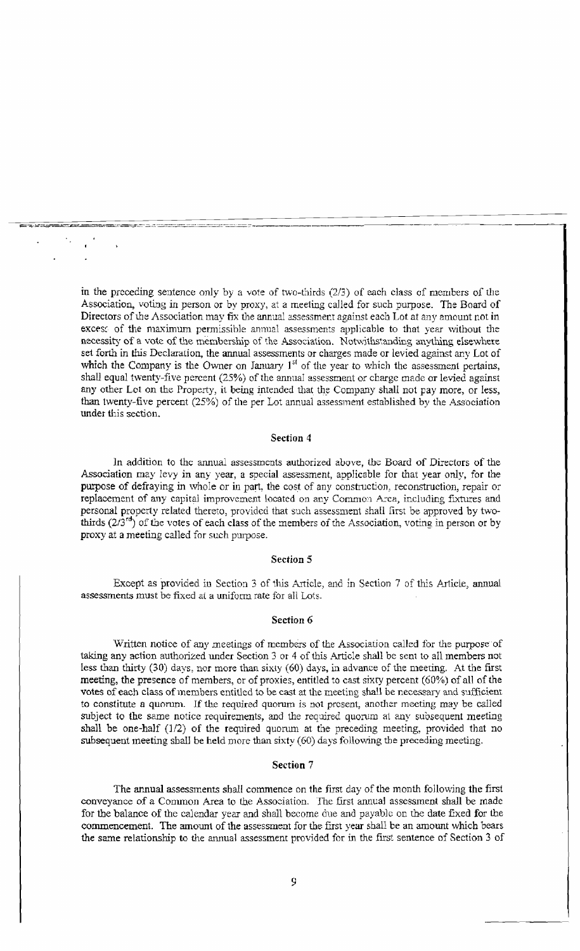in the preceding sentence only by a vote of two-thirds  $(2/3)$  of each class of members of the Association, voting in person or by proxy, at a meeting called for such purpose. The Board of Directors of the Association may fix the annual assessment against each Lot at any amount not in excess of the maximum permissible annual assessments applicable to that year without the necessity of a vote of the membership of the Association. Notwithstanding anything elsewhere set forth in this Declaration, the annual assessments or charges made or levied against any Lot of which the Company is the Owner on January  $1<sup>st</sup>$  of the year to which the assessment pertains, shall equal twenty-five percent (25%) of the annual assessment or charge made or levied against any other Lot on the Property, it being intended that the Company shall not pay more, or less, than twenty-five percent (25%) of the per Lot annual assessment established by the Association under this section.

#### Section 4

In addition to the annual assessments authorized above, the Board of Directors of the Association may levy in any year, a special assessment, applicable for that year only, for the purpose of defraying in whole or in part, the cost of any construction, reconstruction, repair or replacement of any capital improvement located on any Common Area, including fixtures and personal property related thereto, provided that such assessment shall first be approved by twothirds  $(2/3^{rd})$  of the votes of each class of the members of the Association, voting in person or by proxy at a meeting called for such purpose.

## Section 5

Except as provided in Section 3 of this Article, and in Section 7 of this Article, annual assessments must be fixed at a uniform rate for all Lots.

# Section 6

Written notice of any meetings of members of the Association called for the purpose of taking any action authorized under Section 3 or 4 of this Article shall be sent to all members not less than thirty (30) days, nor more than sixty (60) days, in advance of the meeting. At the first meeting, the presence of members, or of proxies, entitled to cast sixty percent (60%) of all of the votes of each class of members entitled to be cast at the meeting shall be necessary and sufficient to constitute a quorum. If the required quorum is not present, another meeting may be called subject to the same notice requirements, and the required quorum at any subsequent meeting shall be one-half (1/2) of the required quorum at the preceding meeting, provided that no subsequent meeting shall be held more than sixty (60) days following the preceding meeting.

#### Section 7

The annual assessments shall commence on the first day of the month following the first conveyance of a Common Area to the Association. The first annual assessment shall be made for the balance of the calendar year and shall become due and payable on the date fixed for the commencement. The amount of the assessment for the first year shall be an amount which bears the same relationship to the annual assessment provided for in the first sentence of Section 3 of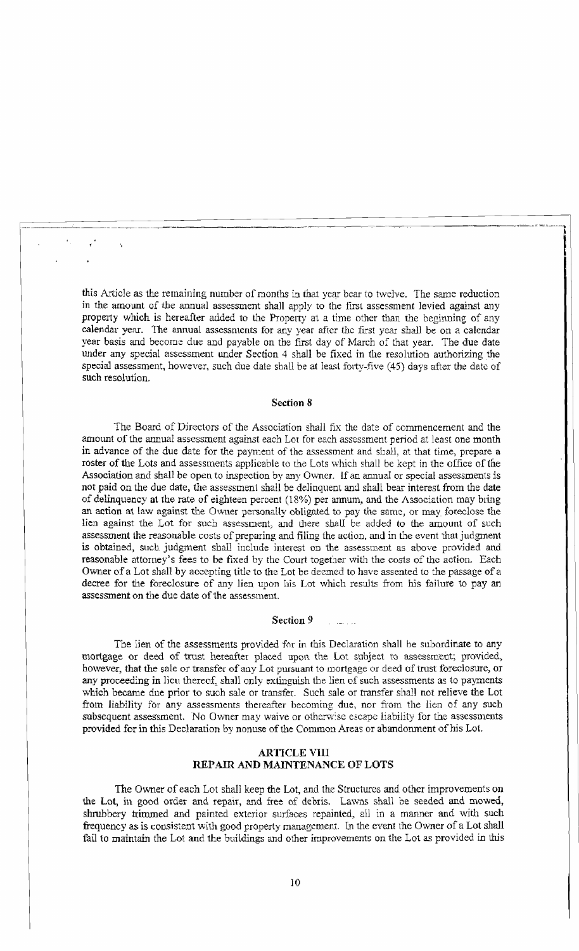this Article as the remaining number of months in that year bear to twelve. The same reduction in the amount of the annual assessment shall apply to the fIrst assessment levied against any property which is hereafter added. to the Property at a time other than the beginning of any calendar year. The annual assessments for any year after the first year shall be on a calendar year basis and become due and payable on the fIrst day of March of that year. The due date under any special assessment under Section 4 shall be fixed in the resolution authorizing the special assessment, however, such due date shall be at least forty-five (45) days after the date of such resolution.

"~~-= ~"~---l

 $\left| \rule{0pt}{2.5pt} \right|$ 

### Section 8

The Board of Directors of the Association shall fix the date of commencement and the amount of the annual assessment against each Lot for each assessment period at least one month in advance of the due date for the payment of the assessment and shall, at that time, prepare a roster of the Lots and assessments applicable to the Lots which shall be kept in the office of*the*  Association and shall be open to inspection by any Owner. If an annual or special assessments is not paid on the due date, the assessment shall be delinquent and shall bear interest from the date of delinquency at the rate of eighteen percent (18%) per annum, and the Association may bring an action at law against the Owner personally obligated to pay the same, or may foreclose the lien against the Lot for sucb assessment, and there shall be added to the amount of such assessment the reasonable costs of preparing and filing the action. and in the event that judgment is obtained, such judgment shall include interest on the assessment as above provided and reasonable attorney's fees to be fixed by the Court together with the costs of the action. Each Owner of a Lot shall by accepting title to the Lot be deemed to have assented to the passage of a decree for the foreclosure of any lien upon his Lot which results from his failure to pay an assessment on the due date of the assessment.

### Section 9

The lien of the assessments provided for in this Declaration shall be subordinate to any mortgage or deed of trust hereafter placed upon. the Lot subject to assessment; provided, however, that the sale or transfer of any Lot pursuant to mortgage or deed of trust foreclosure, or any proceeding in lieu thereof, shall only extinguish the lien of such assessments as to payments which became due prior to such sale or transfer. Such sale or transfer shall not relieve the Lot from liability for any assessments thereafter becoming due, nor from the lien of any such subsequent assessment. No Owner may waive or otherwise escape liability for the assessments provided for in this Declaration by nonuse of the Common Areas or abandonment of his Lot.

# ARTICLE VIII REPAIR AND MAINTENANCE OF LOTS

The Owner of each Lot shall keep the Lot, and the Structures and other improvements on the Lot, in good order and repair, and free of debris. Lawns shall be seeded and mowed, shrubbery trimmed and painted exterior surfaces repainted, all in a manner and with such frequency as is consistent with good property management. In the event the Owner of a Lot shall fail to maintain the Lot and the buildings and other improvements on the Lot as provided in this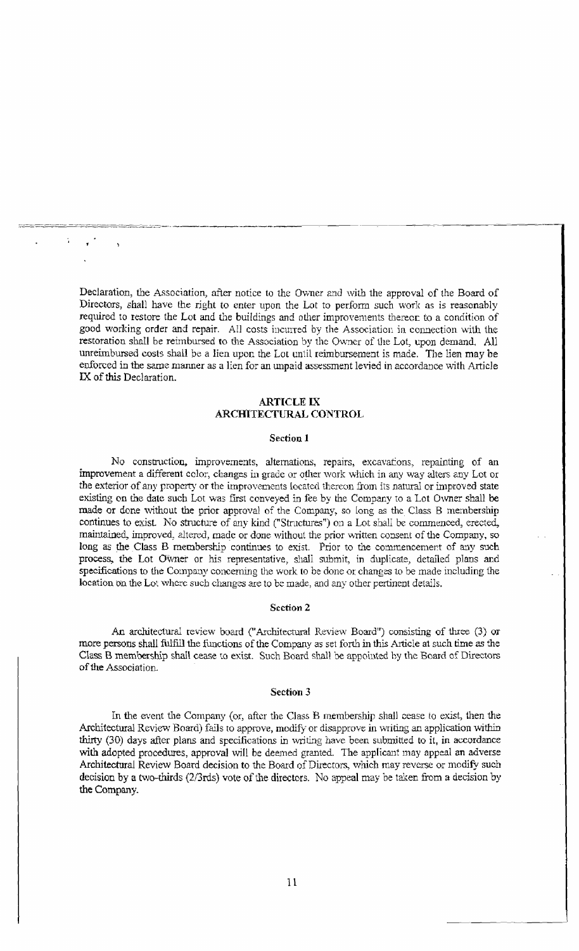Declaration, the Association, after notice to the Ovvner and with the approval of the Board of Directors, shall have the right to enter upon the Lot to perform such work as is reasonably required to restore the Lot and the buildings and other improvements thereor to a condition of good working order and repair. All costs incuned by the Association in connection with the restoration shall be reimbursed to the Association by the Owner of the Lot, upon demand. All unreimbursed costs shall be a lien upon the Lot until reimbursement is made. The lien may be enforced in the same manner as a lien for an unpaid assessment levied in accordance with Article IX of this Declaration.

.\_-\_.\_---\_.

# ARTICLE IX ARCffiTECTURAL CONTROL

#### Section 1

No construction. improvements, alternations, repairs, excavatons, repainting of an improvement a different color, changes in grade or other work which in any way alters any Lot or the exterior of any property or the improvements located thereon from its natural or improved state existing on the date such Lot was first conveyed in fee by the Company to a Lot Owner shall be made or done without the prior approval of the Company, so long as the Class B membership continues to exist. No structure of any kind ("Structures") on a Lot shall be commenced, erected, maintained, improved, altered, made or done without the prior written consent of the Company, so long as the Class B membership continues to exist. Prior to the commencement of any such process, the Lot Owner or his representative, shall submit, in duplicate, detailed plans and specifications to the Company conceming the work to be done or changes to be made including the location on the Lot where sucb changes are to be made, and any other pertinent details.

## Section 2

An architectural review board ("Architectural Review Board") consisting of three (3) or more persons shall fulfill the functions of the Company as set forth in this Article at such time as the Class B membership shall cease to exist. Such Board shall be appointed by the Board of Directors of the Association.

#### Section 3

In the event the Company (or, ufter the Class B membership shall cease to exist, then the Architectural Review: Board) fails to approve, modify or disapprove in writing an application within thirty (30) days after plans and specifications in writing have been submitted to it, in accordance with adopted procedures, approval will be deemed granted. The applicant may appeal an adverse Architectural Review Board decision to the Board of Directors, which may reverse or modify such decision by a two-thirds  $(2/3rds)$  vote of the directors. No appeal may be taken from a decision by the Company.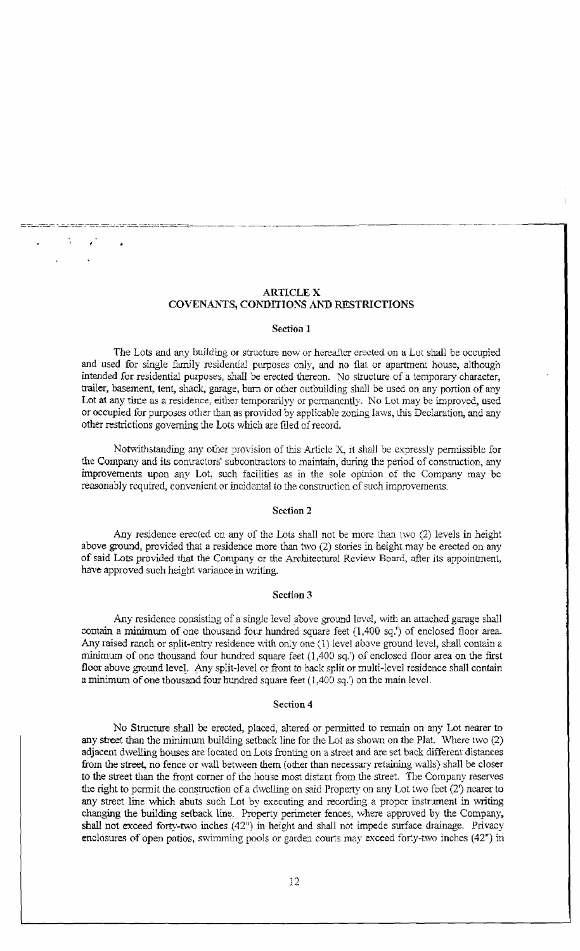# ARTICLE X COVENANTS, CONDITIONS AND RESTRICTIONS

\_ ~.-"=-~' ---="'~"·-o=-=c=''''~c..-c-'C",c=~occ~=;.-=c=:-=~ -- ------.. - \_ -~------ --.-----

#### Section 1

The Lots and any building or structure now or hereafter erected on a Lot shall be occupied and used for single family residential purposes only, and no flat or apartment house, although intended for residential purposes, shall be erected thereon. No structure of a *temporary* character, trailer, basement, tent, shack, garage, bam or other outbuilding shall be used on any portion of any Lot at any time as a residence, either temporarilyy or permanently. No Lot may be improved, used or occupied for purposes other than as provided by applicable zoning laws, this Declaration, and any other restrictions governing the Lots which are filed of record.

Notwithstanding any other provision of this Article X, it shall be expressly permissible for the Company and its contractors' subcontractors to maintain, during the period of construction, any improvements upon any Lot, such facllities as in the sole opinion of the Company may be reasonably required, convenient or incidental to the construction of such improvements.

#### Section 2

Any residence erected on any of the Lots shall not be more than two  $(2)$  levels in height above ground, provided that a residence more than two (2) stories in height may be erected on any of said Lots provided that the Company Or the Architectural Review Board, after its appointment, have approved such height variance in writing.

## Section 3

Any residence consisting of a single level above ground level, with an attached garage shall contain a minimum of one thousand four hundred square feet (1,400 sq.') of enclosed floor area. Any raised ranch or split-entry residence with only one (1) level above ground level, shall contain a minimum of one thousand four hundred square feet  $(1,400 \text{ sq.})$  of enclosed floor area on the first floor above ground level. Any split-level or front to back split or multi-level residence shall contain a minimum of one thousand four hundred square feet  $(1,400 \text{ sq.})$  on the main level.

#### Section 4

No Structure shall be erected, placed, altered or permitted to remain on any Lot nearer to any street than the minimum building setback line for the Lot as shown on the Plat. Where two (2) adjacent dwelling houses are located on Lots fronting on a street and are set back different distances from the street, no fence or wall between them (other than necessary retaining walls) shall be closer to the street than the front corner of the house most distant from the street. The Company reserves the right to permit the construction of a dwelling on said Property on any Lot two feet (2') nearer to any street line which abuts such Lot by executing and recording a proper instrument in writing changing the building setback line, Property perimeter fences, where approved by the Company, shall not exceed forty-two inches  $(42<sup>n</sup>)$  in height and shall not impede surface drainage. Privacy enclosures of open patios, swimming pools or garden courts may exceed forty-two inches (42") in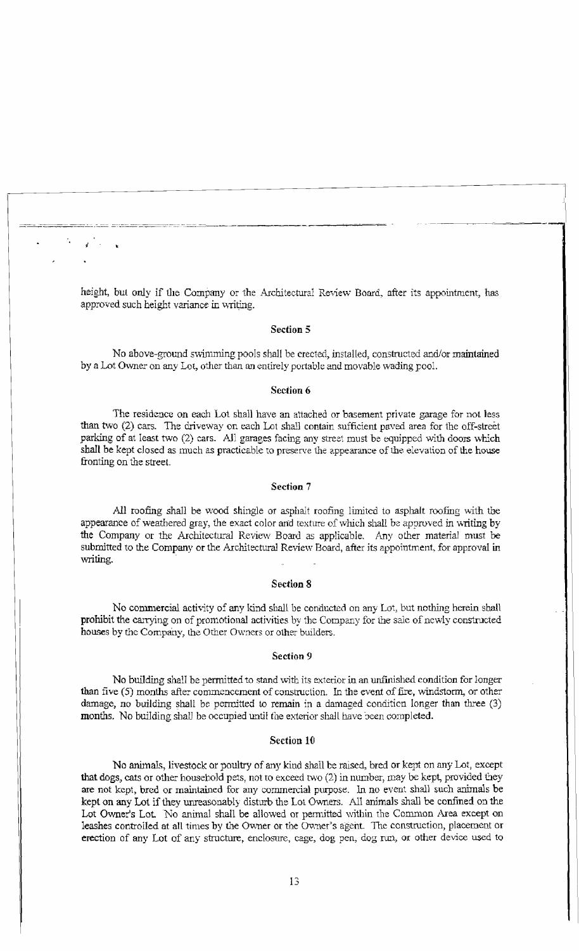height, but only if the Company or the Architectural Review Board, after its appointment, has approved such height variance in writing.

~~:~\_~·...:.....-.~c ~:...~.-:::.-=.=--=--~--:-.::-.::.-.:;--\_=-~~~-,

II

## Section 5

No above-ground swimming pools shall be erected, installed, constructed and/or maintained by a Lot Owner on any Lot, other than an entirely portable and movable wading pool.

## Section 6

The residence on each Lot shall have an attached or basement private garage for not less than two (2) cars. The driveway on each Lot shall contain sufficient paved area for the off-street parking of at least two (2) cars. All garages facing any street must be equipped with doors which shall be kept closed as much as practicable to preserve the appearance of the elevation of the house fronting on the street.

## Section 7

All roofing shall be wood shingle or asphalt roofing limited to asphalt roofing with the appearance of weathered gray, the exact color and texture of which shall be approved in 'Writing by the Company or the Architectural Review Board as applicable. Any other material must be submitted to the Company or the Architectural Review Board, after its appointment, for approval in writing.

#### Section 8

No commercial activity of any kind shall be conducted on any Lot, but nothing herein shall prohibit the carrying on of promotional activities by the Company for the sale of newly constructed houses by the Company, the Other Owners or other builders.

#### Section 9

No building shall be permitted to stand with its exterior in an unfinished condition for longer than five (5) months after commencement of construction. In the event of fire, windstorm, or other damage, no building shall be permitted to remain in a damaged condition longer than three (3) months. No building shall be occupied until the exterior shall have been completed.

## Section 10

No animals, livestock or poultry of any kind shall be raised, bred or kept on any Lot, except that dogs, cats or other household pets, not to exceed two  $(2)$  in number, may be kept, provided they are not kept, bred or maintained for any commercial purpose. In. no event shall such animals be kept on any Lot if they unreasonably disturb the Lot Owners. All animals shall be confined on the Lot Owner's Lot. No animal shall be allowed or permitted within the Common Area except on leashes controlled at all times by the Owner or the Owner's agent. The construction, placement or erection of any Lot of any structure, enclosure, cage, dog pen, dog run, or other device used to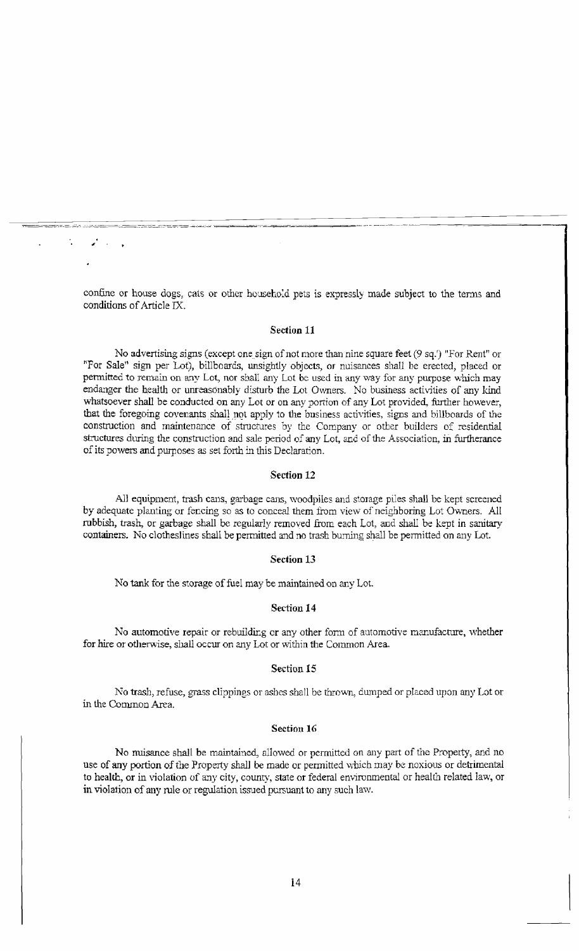confine or house dogs, cats or other household pets is expressly made subject to the terms and conditions of Article IX.

~..--..o;-~-::=\_=\_.:,:":\_-;,.::.,,::::::\_::;::;::;:::::=,,::::=::::::::,::=:-~-=:,,:=-:-==.,-,,,:,,-~.,,>,\_~

,

## Section 11

No advertising signs (except onesign of not more than nine square feet (9 sq.') "For Rent" or "For Sale" sign per lot), billboards, unsightly objects, or nuisances shall be erected, placed or permitted to remain on any Lot, nor shall any Lot be used in any way for any purpose which may endanger the health or unreasonably disturb the Lot Owners. No business activities of any kind whatsoever shall be conducted on any Lot or on any portion of any Lot provided, further however, that the foregoing covenants shall not apply to the business activities, signs and billboards of the construction and maintenance of structures by the Company or other builders of residential structures during the construction and sale period of any Lot, and of the Association, in furtherance of its powers and purposes as set forth in this Declaration.

#### Section 12

All equipment, trash cans, garbage cans, woodpiles and storage piles shall be kept screened by adequate planting or fencing so as to conceal them from view of neighboring Lot Ovvners. All rubbish, trash, or garbage shall be regularly removed from each Lot, and shall be kept in sanitary containers. No clotheslines shall be permitted and no trash burning shall be permitted on any Lot.

## Section 13

No tank for the storage of fuel may be maintained on any Lot.

#### Section 14

No automotive repair or rebuilding or any other form of automotive manufacture, whether for hire or otherwise, shall occur on any Lot or within the Common Area.

## Section 15

No trash, refuse, grass clippings or ashes shall be thrown, dumped or placed upon any Lot or in the Common Area.

#### Section 16

No nuisance shall be maintained, allowed or permitted on any part of the Property, and no use of any portion of the Property shall be made or permitted which may be noxious or detrimental to health, or in violation of any city, county, state or federal environmental or health related law, or in violation of any rule or regulation issued pursuant to any such law.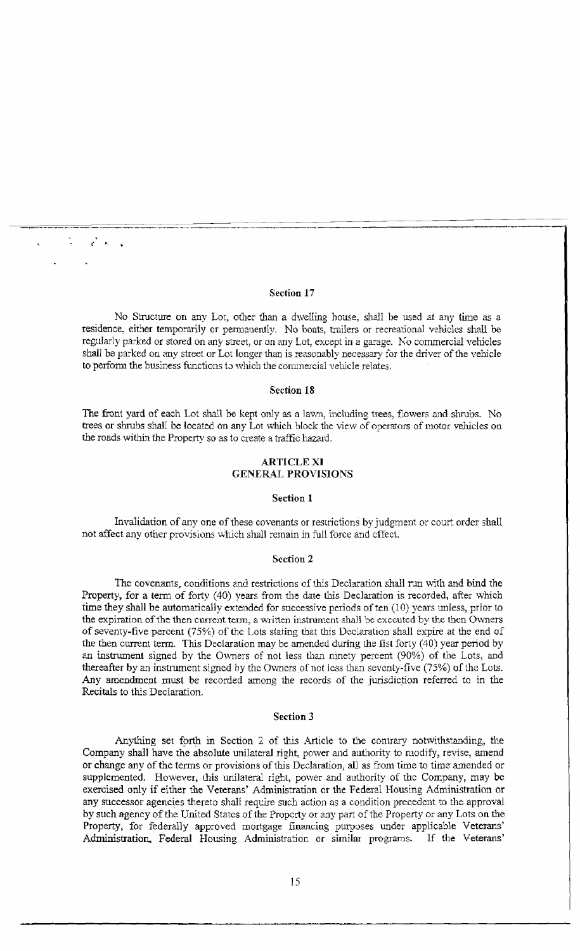# Section 17

 $\mathcal{L}^{\bullet}$  .

No Structure on any Lot, other than a dwelling house, shall be used at any time as a residence, either temporarily or permanently. No boats, trailers or recreational vehicles shall be regularly parked or stored on any street, or on any Lot, except in a garage. No commercial vehicles shall be parked on any street or Lot longer than is reasonably necessary for the driver of the vehicle to perform the business functions to which the commercial vehicle relates.

## Section 18

The front yard of each Lot shall be kept only as a lawn, including trees, flowers and shrubs. No trees or shrubs shall be located on any Lot which block the view of operators of motor vehicles on the roads within the Property SO as to create a traffic hazard.

## ARTICLE XI GENERAL PROVISIONS

## Section 1

Invalidation of any one of these covenants or restrictions by judgment or court order shall not affect any other provisions which shall remain in full force and effect.

## Section 2

The covenants, conditions and restrictions of this Declaration shall run with and bind the Property, for a term of forty (40) years from the date this Declaration is recorded, after which time they shall be automatically extended for successive periods of ten (10) years unless, prior to the expiration of the then current term, a written instrument shall be executed by the then Owners of seventy-five percent (75%) of the Lots stating that this Declaration shall expire at the end of the then current term. This Declaration may be amended during the fist forty (40) year period by an instrument signed by the Ovmers of not less than ninety percent (90%) of the Lots, and thereafter by an instrument signed by the Owners of not less than seventy-five (75%) of the Lots. Any amendment must be recorded among the records of the jurisdiction referred to in the Recitals to this Declaration.

#### Section 3

Anything set forth in Section 2 of this Article to the contrary notwithstanding, the Company shall have the absolute unilateral right, power and authority to modify, revise, amend or change any of the terms or provisions of this Declaration, all as from time to time amended or supplemented. However, this unilateral right, power and authority of the Company, may be exercised only if either the Veterans' Administration or the Federal Housing Administration or any successor agencies thereto shall require such action as a condition precedent to the approval by such agency of the United States of the Property or any part of the Property or any Lots on the Property, for federally approved mortgage financing purposes under applicable Veterans' Administration. Federal Housing Administration or similar programs. If the Veterans'